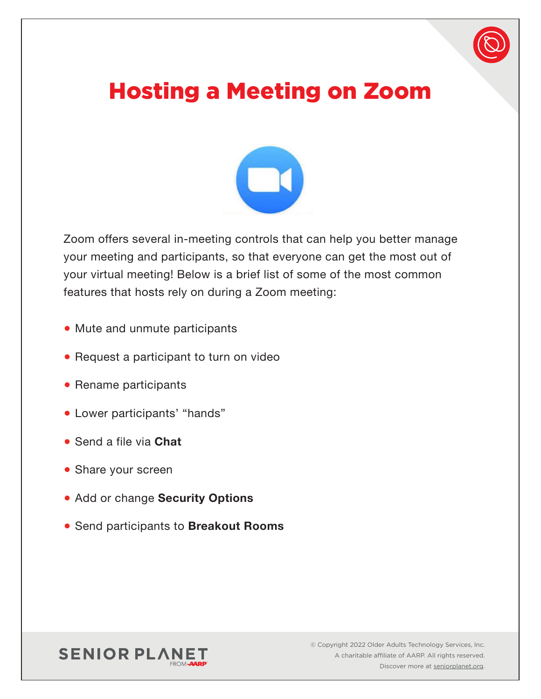# Hosting a Meeting on Zoom



Zoom offers several in-meeting controls that can help you better manage your meeting and participants, so that everyone can get the most out of your virtual meeting! Below is a brief list of some of the most common features that hosts rely on during a Zoom meeting:

- Mute and unmute participants
- Request a participant to turn on video
- Rename participants
- Lower participants' "hands"
- Send a file via **Chat**
- Share your screen
- Add or change **Security Options**
- Send participants to **Breakout Rooms**

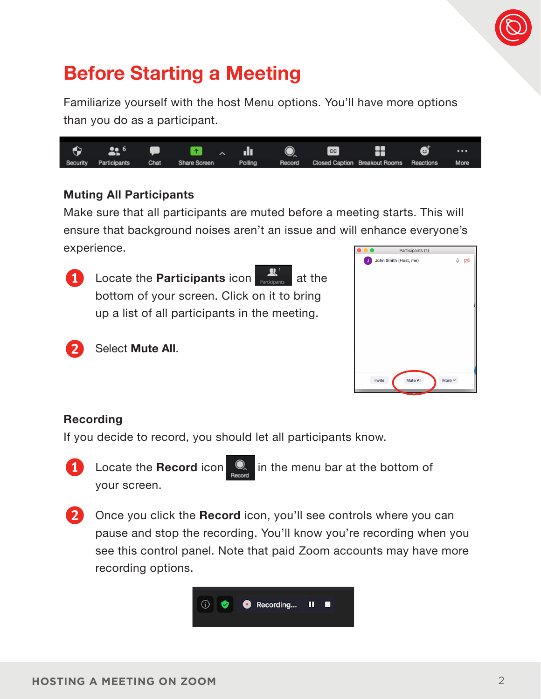

## **Before Starting a Meeting**

Familiarize yourself with the host Menu options. You'll have more options than you do as a participant.



#### **Muting All Participants**

2 Select **Mute All**.

Make sure that all participants are muted before a meeting starts. This will ensure that background noises aren't an issue and will enhance everyone's experience. Participants (1)



**Locate the Participants icon at the Locate the Participants** at the bottom of your screen. Click on it to bring up a list of all participants in the meeting.



#### **Recording**

If you decide to record, you should let all participants know.



your screen.

1 Locate the **Record** icon **Q** in the menu bar at the bottom of



2 Once you click the **Record** icon, you'll see controls where you can pause and stop the recording. You'll know you're recording when you see this control panel. Note that paid Zoom accounts may have more recording options.

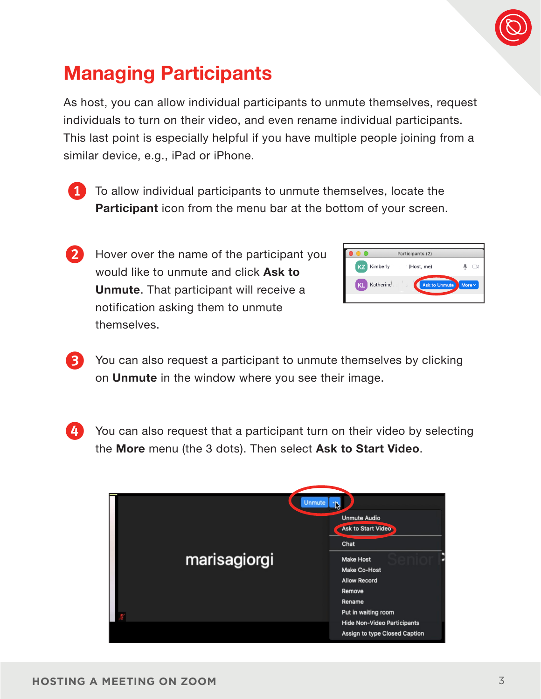

## **Managing Participants**

As host, you can allow individual participants to unmute themselves, request individuals to turn on their video, and even rename individual participants. This last point is especially helpful if you have multiple people joining from a similar device, e.g., iPad or iPhone.

1 To allow individual participants to unmute themselves, locate the **Participant** icon from the menu bar at the bottom of your screen.

2 Hover over the name of the participant you would like to unmute and click **Ask to Unmute**. That participant will receive a notification asking them to unmute themselves.

|           | Participants (2)                                 |  |
|-----------|--------------------------------------------------|--|
| KZ        | Kimberly<br><sup>-</sup> (Host, me)              |  |
| <b>KL</b> | Katherine<br><b>Ask to Unmute</b><br>More $\vee$ |  |

3 You can also request a participant to unmute themselves by clicking on **Unmute** in the window where you see their image.

4 You can also request that a participant turn on their video by selecting the **More** menu (the 3 dots). Then select **Ask to Start Video**.

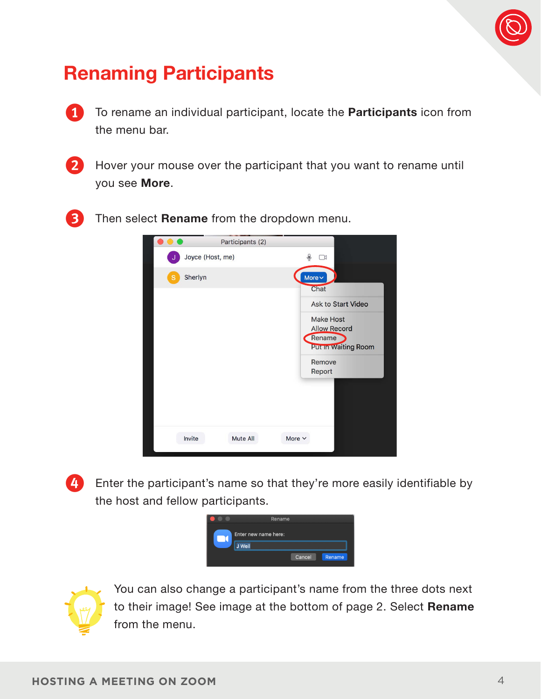

#### **Renaming Participants**

1 To rename an individual participant, locate the **Participants** icon from the menu bar.

2 Hover your mouse over the participant that you want to rename until you see **More**.

3 Then select **Rename** from the dropdown menu.



4 Enter the participant's name so that they're more easily identifiable by the host and fellow participants.





You can also change a participant's name from the three dots next to their image! See image at the bottom of page 2. Select **Rename** from the menu.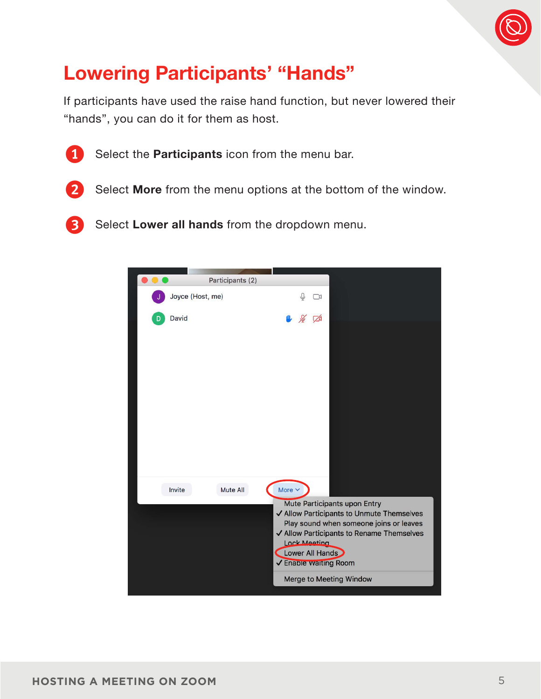

## **Lowering Participants' "Hands"**

If participants have used the raise hand function, but never lowered their "hands", you can do it for them as host.



1 Select the **Participants** icon from the menu bar.



2 Select **More** from the menu options at the bottom of the window.

3 Select **Lower all hands** from the dropdown menu.

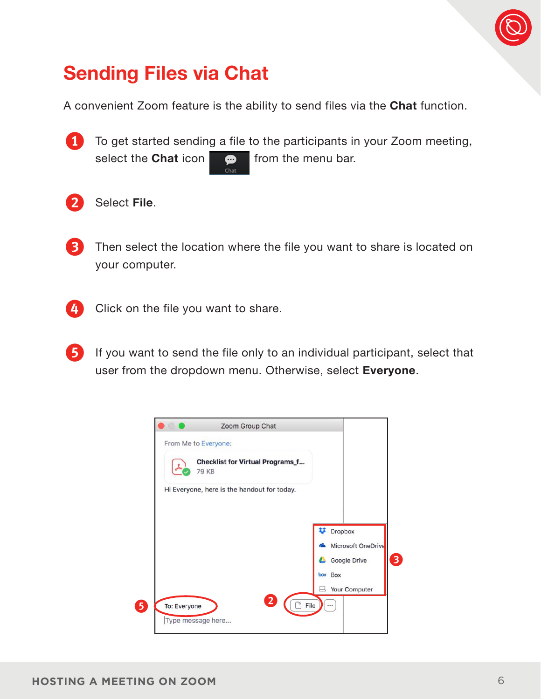

## **Sending Files via Chat**

A convenient Zoom feature is the ability to send files via the **Chat** function.



1 To get started sending a file to the participants in your Zoom meeting,<br>select the **Chat** icon  $\bullet$  from the menu bar. select the **Chat** icon



2 Select **File**.

- 3 Then select the location where the file you want to share is located on your computer.
- 4 Click on the file you want to share.
- 5 If you want to send the file only to an individual participant, select that user from the dropdown menu. Otherwise, select **Everyone**.

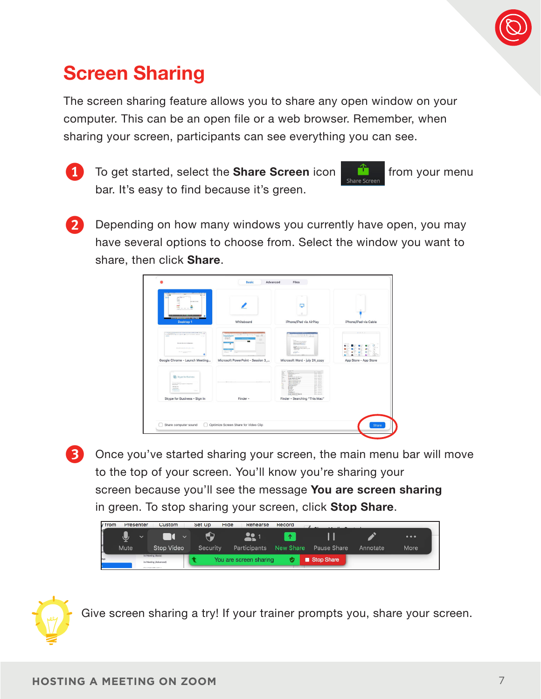

## **Screen Sharing**

The screen sharing feature allows you to share any open window on your computer. This can be an open file or a web browser. Remember, when sharing your screen, participants can see everything you can see.



1 To get started, select the **Share Screen** icon **for a from your menu** bar. It's easy to find because it's green.



2 Depending on how many windows you currently have open, you may have several options to choose from. Select the window you want to share, then click **Share**.



3 Once you've started sharing your screen, the main menu bar will move to the top of your screen. You'll know you're sharing your screen because you'll see the message **You are screen sharing**  in green. To stop sharing your screen, click **Stop Share**.





Give screen sharing a try! If your trainer prompts you, share your screen.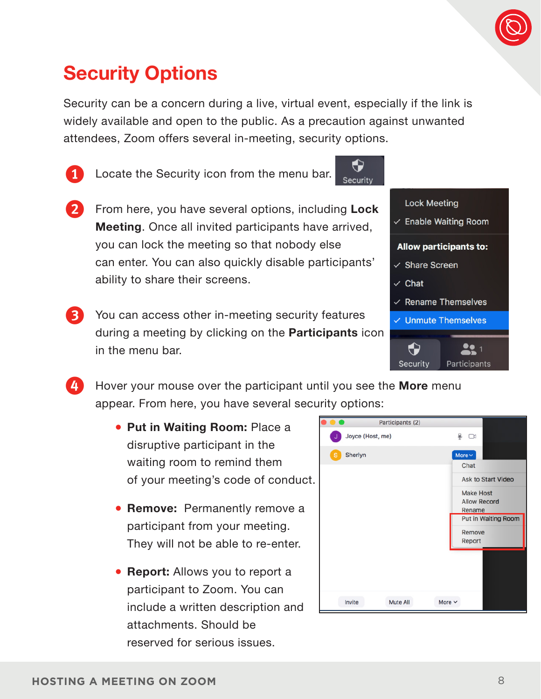

#### **Security Options**

Security can be a concern during a live, virtual event, especially if the link is widely available and open to the public. As a precaution against unwanted attendees, Zoom offers several in-meeting, security options.

Security

1 Locate the Security icon from the menu bar.

- 2 From here, you have several options, including **Lock Meeting**. Once all invited participants have arrived, you can lock the meeting so that nobody else can enter. You can also quickly disable participants' ability to share their screens.
- You can access other in-meeting security features during a meeting by clicking on the **Participants** icon in the menu bar.



4 Hover your mouse over the participant until you see the **More** menu appear. From here, you have several security options:

- **Put in Waiting Room:** Place a disruptive participant in the waiting room to remind them of your meeting's code of conduct.
- **Remove:** Permanently remove a participant from your meeting. They will not be able to re-enter.
- **Report:** Allows you to report a participant to Zoom. You can include a written description and attachments. Should be reserved for serious issues.